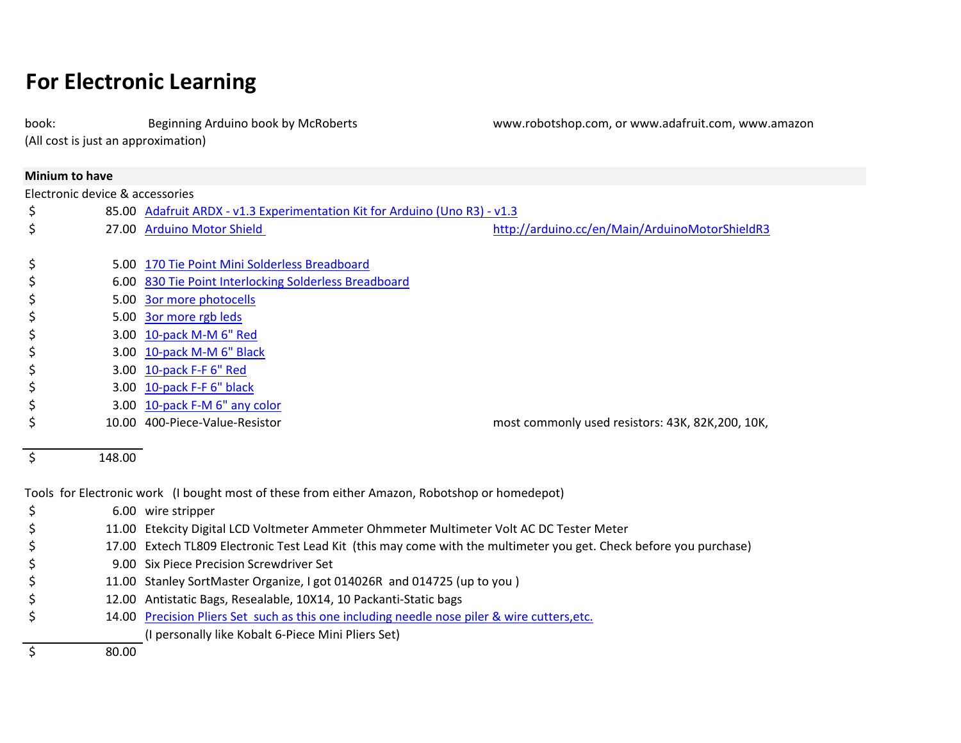## **For Electronic Learning**

book: Beginning Arduino book by McRoberts www.robotshop.com, or www.adafruit.com, www.amazon

(All cost is just an approximation)

|         | <b>Minium to have</b>           |                                                                                                                    |                                                   |  |
|---------|---------------------------------|--------------------------------------------------------------------------------------------------------------------|---------------------------------------------------|--|
|         | Electronic device & accessories |                                                                                                                    |                                                   |  |
| \$      |                                 | 85.00 Adafruit ARDX - v1.3 Experimentation Kit for Arduino (Uno R3) - v1.3                                         |                                                   |  |
| \$      |                                 | 27.00 Arduino Motor Shield                                                                                         | http://arduino.cc/en/Main/ArduinoMotorShieldR3    |  |
| \$      |                                 | 5.00 170 Tie Point Mini Solderless Breadboard                                                                      |                                                   |  |
| \$      |                                 | 6.00 830 Tie Point Interlocking Solderless Breadboard                                                              |                                                   |  |
| \$      |                                 | 5.00 3or more photocells                                                                                           |                                                   |  |
| \$      |                                 | 5.00 3or more rgb leds                                                                                             |                                                   |  |
| \$      |                                 | 3.00 10-pack M-M 6" Red                                                                                            |                                                   |  |
| \$      |                                 | 3.00 10-pack M-M 6" Black                                                                                          |                                                   |  |
| \$      |                                 | 3.00 10-pack F-F 6" Red                                                                                            |                                                   |  |
| \$      |                                 | 3.00 10-pack F-F 6" black                                                                                          |                                                   |  |
| \$      |                                 | 3.00 10-pack F-M 6" any color                                                                                      |                                                   |  |
| \$      |                                 | 10.00 400-Piece-Value-Resistor                                                                                     | most commonly used resistors: 43K, 82K, 200, 10K, |  |
| $\zeta$ | 148.00                          |                                                                                                                    |                                                   |  |
|         |                                 | Tools for Electronic work (I bought most of these from either Amazon, Robotshop or homedepot)                      |                                                   |  |
| \$      |                                 | 6.00 wire stripper                                                                                                 |                                                   |  |
| \$      |                                 | 11.00 Etekcity Digital LCD Voltmeter Ammeter Ohmmeter Multimeter Volt AC DC Tester Meter                           |                                                   |  |
| \$      |                                 | 17.00 Extech TL809 Electronic Test Lead Kit (this may come with the multimeter you get. Check before you purchase) |                                                   |  |
| \$      |                                 | 9.00 Six Piece Precision Screwdriver Set                                                                           |                                                   |  |
| \$      |                                 | 11.00 Stanley SortMaster Organize, I got 014026R and 014725 (up to you)                                            |                                                   |  |
|         |                                 | 12.00 Antistatic Bags, Resealable, 10X14, 10 Packanti-Static bags                                                  |                                                   |  |

\$ 14.00 Precision Pliers Set such as this one including needle nose piler & wire cutters, etc.

(I personally like Kobalt 6-Piece Mini Pliers Set)

\$ 80.00